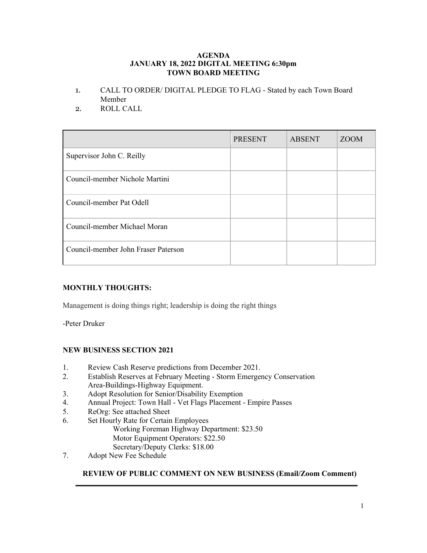#### **AGENDA JANUARY 18, 2022 DIGITAL MEETING 6:30pm TOWN BOARD MEETING**

- 1. CALL TO ORDER/ DIGITAL PLEDGE TO FLAG Stated by each Town Board Member
- 2. ROLL CALL

|                                     | <b>PRESENT</b> | <b>ABSENT</b> | <b>ZOOM</b> |
|-------------------------------------|----------------|---------------|-------------|
| Supervisor John C. Reilly           |                |               |             |
| Council-member Nichole Martini      |                |               |             |
| Council-member Pat Odell            |                |               |             |
| Council-member Michael Moran        |                |               |             |
| Council-member John Fraser Paterson |                |               |             |

# **MONTHLY THOUGHTS:**

Management is doing things right; leadership is doing the right things

-Peter Druker

### **NEW BUSINESS SECTION 2021**

- 1. Review Cash Reserve predictions from December 2021.
- 2. Establish Reserves at February Meeting Storm Emergency Conservation Area-Buildings-Highway Equipment.
- 3. Adopt Resolution for Senior/Disability Exemption
- 4. Annual Project: Town Hall Vet Flags Placement Empire Passes
- 5. ReOrg: See attached Sheet
- 6. Set Hourly Rate for Certain Employees Working Foreman Highway Department: \$23.50 Motor Equipment Operators: \$22.50 Secretary/Deputy Clerks: \$18.00
- 7. Adopt New Fee Schedule

### **REVIEW OF PUBLIC COMMENT ON NEW BUSINESS (Email/Zoom Comment)**